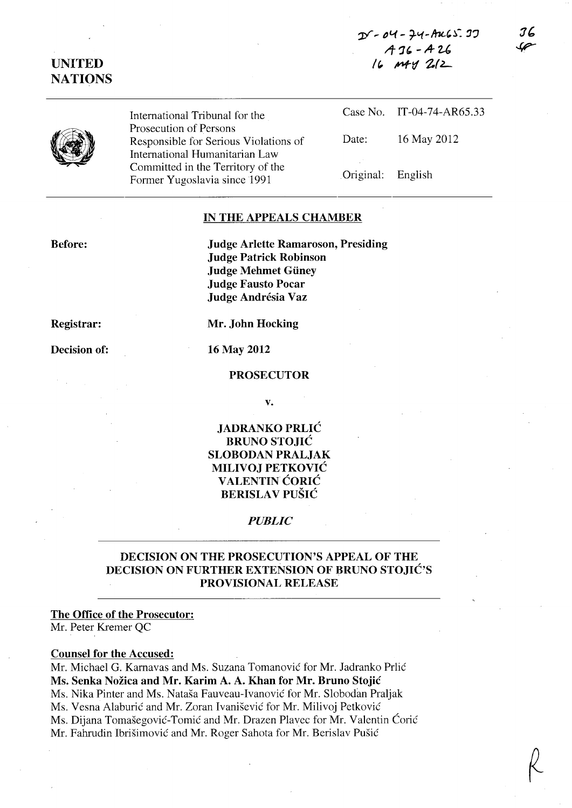$D - 04 - 74 - AkCS.37$ */T* ':U. - A- *U*  le, M'd *Z(L* 

# UNITED **NATIONS**

International Tribunal for the Prosecution of Persons Responsible for Serious Violations of International Humanitarian Law Committed in the Territory of the Former Yugoslavia since 1991

Case No. IT-04-74-AR65.33 Date: 16 May 2012 Original: English

#### IN THE APPEALS CHAMBER

Before:

Judge Arlette Ramaroson, Presiding Judge Patrick Robinson Judge Mehmet Giiney Judge Fausto Pocar Judge Andrésia Vaz

Registrar:

Decision of:

Mr. John Hocking

16 May 2012

#### PROSECUTOR

v.

### JADRANKO PRLIC BRUNO STOJIC SLOBODAN PRALJAK MILIVOJ PETKOVIC VALENTIN ĆORIĆ BERISLAV PUŠIĆ

#### *PUBLIC*

## DECISION ON THE PROSECUTION'S APPEAL OF THE DECISION ON FURTHER EXTENSION OF BRUNO STOJIC'S PROVISIONAL RELEASE

#### The Office of the Prosecutor:

Mr. Peter Kremer QC

#### Counsel for the Accused:

Mr. Michael G. Karnavas and Ms. Suzana Tomanović for Mr. Jadranko Prlić Ms. Senka Nozica and Mr. Karim A. A. Khan for Mr. Bruno Stojic Ms. Nika Pinter and Ms. Nataša Fauveau-Ivanović for Mr. Slobodan Praljak Ms. Vesna Alaburić and Mr. Zoran Ivanišević for Mr. Milivoj Petković Ms. Dijana Tomašegović-Tomić and Mr. Drazen Playec for Mr. Valentin Ćorić Mr. Fahrudin Ibrišimović and Mr. Roger Sahota for Mr. Berislav Pušić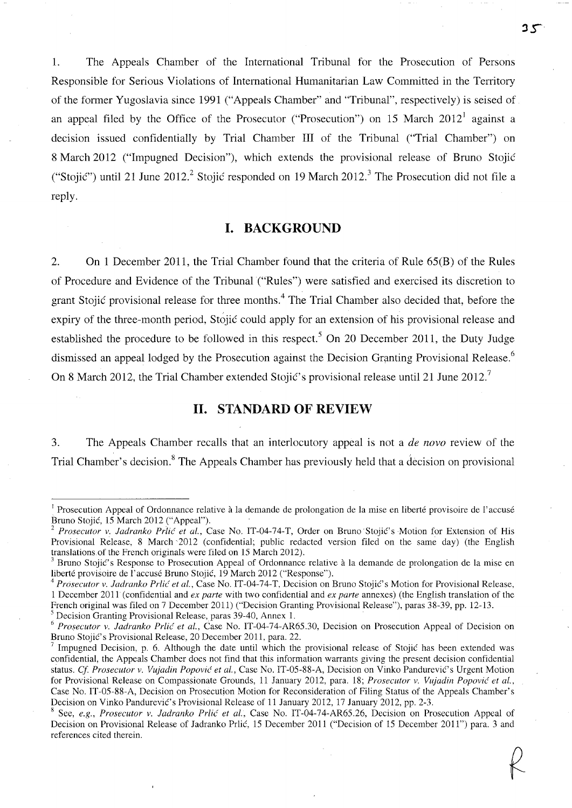1. The Appeals Chamber of the International Tribunal for the Prosecution of Persons Responsible for Serious Violations of International Humanitarian Law Committed in the Territory of the former Yugoslavia since 1991 ("Appeals Chamber" and "Tribunal", respectively) is seised of an appeal filed by the Office of the Prosecutor ("Prosecution") on 15 March 2012<sup>1</sup> against a decision issued confidentially by Trial Chamber **In** of the Tribunal ("Trial Chamber") on 8 March 2012 ("Impugned Decision"), which extends the provisional release of Bruno Stojic ("Stojić") until 21 June 2012.<sup>2</sup> Stojić responded on 19 March 2012.<sup>3</sup> The Prosecution did not file a reply.

## **I. BACKGROUND**

2. On 1 December 2011, the Trial Chamber found that the criteria of Rule 65(B) of the Rules of Procedure and Evidence of the Tribunal ("Rules") were satisfied and exercised its discretion to grant Stojić provisional release for three months.<sup>4</sup> The Trial Chamber also decided that, before the expiry of the three-month period, Stojic could apply for an extension of his provisional release and established the procedure to be followed in this respect.<sup>5</sup> On 20 December 2011, the Duty Judge dismissed an appeal lodged by the Prosecution against the Decision Granting Provisional Release.<sup>6</sup> On 8 March 2012, the Trial Chamber extended Stojić's provisional release until 21 June 2012.<sup>7</sup>

## **II. STANDARD OF REVIEW**

3. The Appeals Chamber recalls that an interlocutory appeal is not a *de novo* review of the Trial Chamber's decision.<sup>8</sup> The Appeals Chamber has previously held that a decision on provisional

5 Decision Granting Provisional Release, paras 39-40, Annex 1.

 $35$ 

<sup>&</sup>lt;sup>1</sup> Prosecution Appeal of Ordonnance relative à la demande de prolongation de la mise en liberté provisoire de l'accusé Bruno Stojic, 15 March 2012 ("Appeal").

<sup>&</sup>lt;sup>2</sup> Prosecutor v. Jadranko Prlić et al., Case No. IT-04-74-T, Order on Bruno Stojić's Motion for Extension of His Provisional Release, 8 March 2012 (confidential; public redacted version filed on the same day) (the English translations. of the French originals were filed on 15 March 2012).

 $3$  Bruno Stojić's Response to Prosecution Appeal of Ordonnance relative à la demande de prolongation de la mise en liberte provisoire de l'accuse Bruno Stojic, 19 March 2012 ("Response").

<sup>&</sup>lt;sup>4</sup> Prosecutor v. Jadranko Prlić et al., Case No. IT-04-74-T, Decision on Bruno Stojić's Motion for Provisional Release, 1 December 2011 (confidential and *ex parte* with two confidential and *ex parte* annexes) (the English translation of the French original was filed on 7 December 2011) ("Decision Granting Provisional Release"), paras 38-39, pp. 12-13.

*<sup>6</sup> Prosecutor v. ladranko Prlic' et al.,* Case No. IT-04-74-AR65.30, Decision on Prosecution Appeal of Decision on Bruno Stojić's Provisional Release, 20 December 2011, para. 22.

Impugned Decision, p. 6. Although the date until which the provisional release of Stojić has been extended was confidential, the Appeals Chamber does not find that this information warrants giving the present decision confidential status. *Cf. Prosecutor v. Vujadin Popović et al.*, Case No. IT-05-88-A, Decision on Vinko Pandurević's Urgent Motion for Provisional Release on Compassionate Grounds, 11 January 2012, para. 18; *Prosecutor v. Vujadin Popovic et al.,*  Case No. IT-05-88-A, Decision on Prosecution Motion for Reconsideration of Filing Status of the Appeals Chamber's Decision on Vinko Pandurević's Provisional Release of 11 January 2012, 17 January 2012, pp. 2-3.

<sup>8</sup> See, *e.g., Prosecutor v. ladranko Prlic et aI.,* Case No. IT-04-74-AR65.26, Decision on Prosecution Appeal of Decision on Provisional Release of Jadranko Prlic, 15 December 2011 ("Decision of 15 December 2011") para. 3 and references cited therein.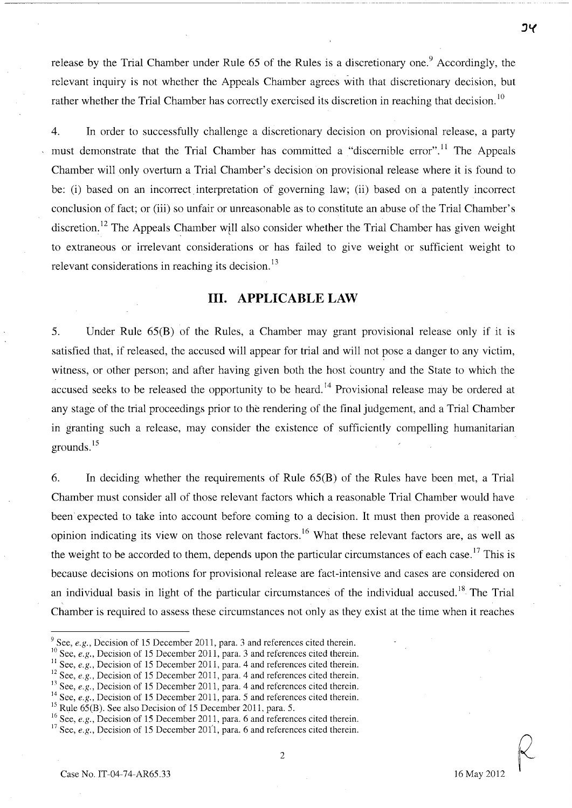release by the Trial Chamber under Rule  $65$  of the Rules is a discretionary one.<sup>9</sup> Accordingly, the relevant inquiry is not whether the Appeals Chamber agrees with that discretionary decision, but rather whether the Trial Chamber has correctly exercised its discretion in reaching that decision.<sup>10</sup>

4. **In** order to successfully challenge a discretionary decision on provisional release, a party must demonstrate that the Trial Chamber has committed a "discernible error".<sup>11</sup> The Appeals Chamber will only overturn a Trial Chamber's decision on provisional release where it is found to be: (i) based on an incorrect interpretation of governing law; (ii) based on a patently incorrect conclusion of fact; or (iii) so unfair or unreasonable as to constitute an abuse of the Trial Chamber's discretion.<sup>12</sup> The Appeals Chamber will also consider whether the Trial Chamber has given weight to extraneous or irrelevant considerations or has failed to give weight or sufficient weight to relevant considerations in reaching its decision.<sup>13</sup>

### **Ill. APPLICABLE LAW**

5. Under Rule 65(B) of the Rules, a Chamber may grant provisional release only if it is satisfied that, if released, the accused will appear for trial and will not pose a danger to any victim, witness, or other person; and after having given both the host country and the State to which the accused seeks to be released the opportunity to be heard.<sup>14</sup> Provisional release may be ordered at any stage of the trial proceedings prior to the rendering of the final judgement, and a Trial Chamber in granting such a release, may consider the existence of sufficiently compelling humanitarian grounds. 15

6. **In** deciding whether the requirements of Rule 65(B) of the Rules have been met, a Trial Chamber must consider all of those relevant factors which a reasonable Trial Chamber would have been expected to take into account before coming to a decision. It must then provide a reasoned opinion indicating its view on those relevant factors.<sup>16</sup> What these relevant factors are, as well as the weight to be accorded to them, depends upon the particular circumstances of each case.<sup>17</sup> This is because decisions on motions for provisional release are fact-intensive and cases are considered on an individual basis in light of the particular circumstances of the individual accused.<sup>18</sup> The Trial Chamber is required to assess these circumstances not only as they exist at the time when it reaches

- <sup>9</sup> See, *e.g.*, Decision of 15 December 2011, para. 3 and references cited therein.
- <sup>10</sup> See, *e.g.*, Decision of 15 December 2011, para. 3 and references cited therein.
- <sup>11</sup> See, *e.g.*, Decision of 15 December 2011, para. 4 and references cited therein.
- <sup>12</sup> See, *e.g.*, Decision of 15 December 2011, para. 4 and references cited therein.
- <sup>13</sup> See, *e.g.*, Decision of 15 December 2011, para. 4 and references cited therein.
- <sup>14</sup> See, *e.g.*, Decision of 15 December 2011, para. 5 and references cited therein.
- $15$  Rule 65(B). See also Decision of 15 December 2011, para. 5.
- <sup>16</sup> See, *e.g.*, Decision of 15 December 2011, para. 6 and references cited therein.

<sup>&</sup>lt;sup>17</sup> See, *e.g.*, Decision of 15 December 2011, para. 6 and references cited therein.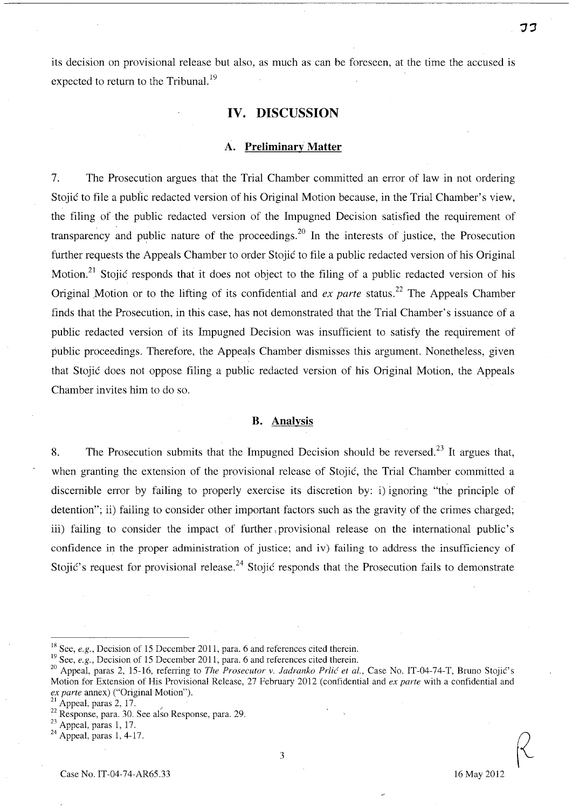its decision on provisional release but also, as much as can be foreseen, at the time the accused is expected to return to the Tribunal.<sup>19</sup>

## **IV. DISCUSSION**

#### **A. Preliminary Matter**

7. The Prosecution argues that the Trial Chamber committed an error of law in not ordering Stojic to file a public redacted version of his Original Motion because, in the Trial Chamber's view, the filing of the public redacted version of the Impugned Decision satisfied the requirement of transparency and public nature of the proceedings.<sup>20</sup> In the interests of justice, the Prosecution further requests the Appeals Chamber to order Stojic to file a public redacted version of his Original Motion.<sup>21</sup> Stojic responds that it does not object to the filing of a public redacted version of his Original Motion or to the lifting of its confidential and *ex parte* status.<sup>22</sup> The Appeals Chamber finds that the Prosecution, in this case, has not demonstrated that the Trial Chamber's issuance of a public redacted version of its Impugned Decision was insufficient to satisfy the requirement of public proceedings. Therefore, the Appeals Chamber dismisses this argument. Nonetheless, given that Stojic does not oppose filing a public redacted version of his Original Motion, the Appeals Chamber invites him to do so.

#### **B. Analysis**

8. The Prosecution submits that the Impugned Decision should be reversed.<sup>23</sup> It argues that, when granting the extension of the provisional release of Stojic, the Trial Chamber committed a discernible error by failing to properly exercise its discretion by: i) ignoring "the principle of detention"; ii) failing to consider other important factors such as the gravity of the crimes charged; iii) failing to consider the impact of further provisional release on the international public's confidence in the proper administration of justice; and iv) failing to address the insufficiency of Stojić's request for provisional release.<sup>24</sup> Stojić responds that the Prosecution fails to demonstrate

<sup>&</sup>lt;sup>18</sup> See,  $e.g.$ , Decision of 15 December 2011, para. 6 and references cited therein.

<sup>&</sup>lt;sup>19</sup> See, *e.g.*, Decision of 15 December 2011, para. 6 and references cited therein.

<sup>&</sup>lt;sup>20</sup> Appeal, paras 2, 15-16, referring to *The Prosecutor v. Jadranko Prlić et al.*, Case No. IT-04-74-T, Bruno Stojić's Motion for Extension of His Provisional Release, 27 February 2012 (confidential and *ex parte* with a confidential and *ex parte* annex) ("Original Motion").

<sup>&</sup>lt;sup>21</sup> Appeal, paras 2, 17.  $\frac{22}{12}$  Response, para. 29.

 $23$  Appeal, paras 1, 17.

 $24$  Appeal, paras 1, 4-17.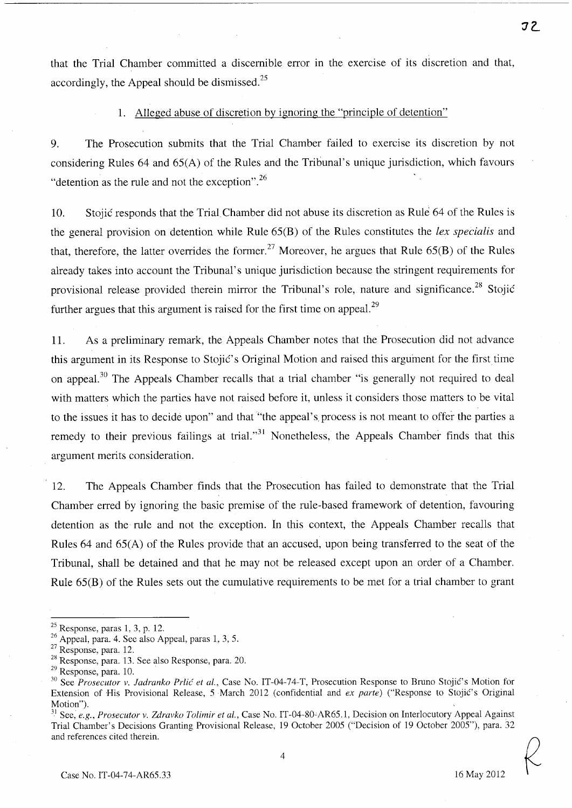that the Trial Chamber committed a discernible error in the exercise of its discretion and that, accordingly, the Appeal should be dismissed. $^{25}$ 

## 1. Alleged abuse of discretion by ignoring the "principle of detention"

9. The Prosecution submits that the Trial Chamber failed to exercise its discretion by not considering Rules 64 and 65(A) of the Rules and the Tribunal's unique jurisdiction, which favours "detention as the rule and not the exception". $^{26}$ 

10. Stojic responds that the Trial Chamber did not abuse its discretion as Rule 64 of the Rules is the general provision on detention while Rule 65(B) of the Rules constitutes the *lex specialis* and that, therefore, the latter overrides the former.<sup>27</sup> Moreover, he argues that Rule  $65(B)$  of the Rules already takes into account the Tribunal's unique jurisdiction because the stringent requirements for provisional release provided therein mirror the Tribunal's role, nature and significance.<sup>28</sup> Stojić further argues that this argument is raised for the first time on appeal.<sup>29</sup>

11. As a preliminary remark, the Appeals Chamber notes that the Prosecution did not advance this argument in its Response to Stojić's Original Motion and raised this argument for the first time on appeal.<sup>30</sup> The Appeals Chamber recalls that a trial chamber "is generally not required to deal with matters which the parties have not raised before it, unless it considers those matters to be vital to the issues it has to decide upon" and that "the appeal's process is not meant to offer the parties a remedy to their previous failings at trial."<sup>31</sup> Nonetheless, the Appeals Chamber finds that this argument merits consideration.

12. The Appeals Chamber finds that the Prosecution has failed to demonstrate that the Trial Chamber erred by ignoring the basic premise of the rule-based framework of detention, favouring detention as the rule and not the exception. In this context, the Appeals Chamber recalls that Rules 64 and 65(A) of the Rules provide that an accused, upon being transferred to the seat of the Tribunal, shall be detained and that he may not be released except upon an order of a Chamber. Rule 65(B) of the Rules sets out the cumulative requirements to be met for a trial chamber to grant

 $25$  Response, paras 1, 3, p. 12.

 $26$  Appeal, para. 4. See also Appeal, paras 1, 3, 5.

<sup>&</sup>lt;sup>27</sup> Response, para. 12.

<sup>28</sup> Response, para. 13. See also Response, para. 20.

<sup>29</sup> Response, para. 10.

<sup>&</sup>lt;sup>30</sup> See *Prosecutor v. Jadranko Prlić et al.*, Case No. IT-04-74-T, Prosecution Response to Bruno Stojić's Motion for Extension of His Provisional Release, 5 March 2012 (confidential and *ex parte*) ("Response to Stojić's Original Motion").

<sup>&</sup>lt;sup>31</sup> See, *e.g., Prosecutor v. Zdravko Tolimir et al.*, Case No. IT-04-80-AR65.1, Decision on Interlocutory Appeal Against Trial Chamber's Decisions Granting Provisional Release, 19 October 2005 ("Decision of 19 October 2005"), para. 32 and references cited therein.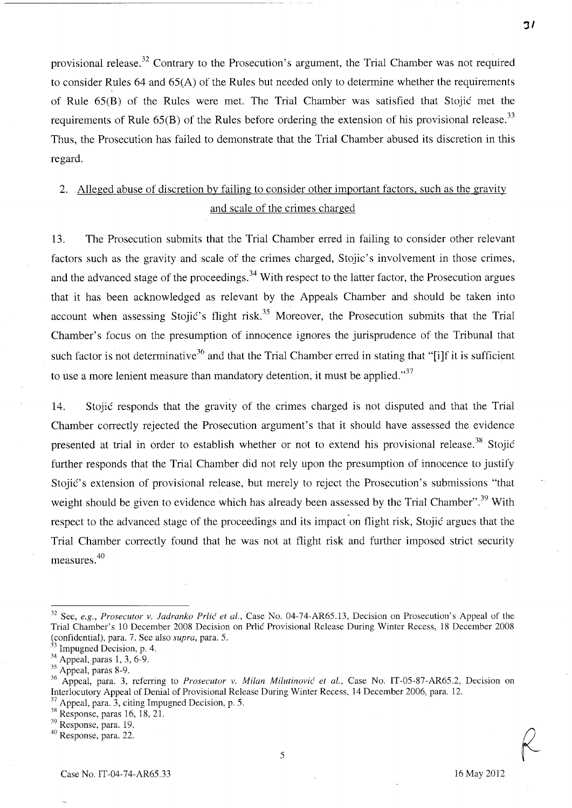provisional release.<sup>32</sup> Contrary to the Prosecution's argument, the Trial Chamber was not required to consider Rules 64 and  $65(A)$  of the Rules but needed only to determine whether the requirements of Rule 65(B) of the Rules were met. The Trial Chamber was satisfied that Stojic met the requirements of Rule  $65(B)$  of the Rules before ordering the extension of his provisional release.<sup>33</sup> Thus, the Prosecution has failed to demonstrate that the Trial Chamber abused its discretion in this regard.

# 2. Alleged abuse of discretion by failing to consider other important factors, such as the gravity and scale of the crimes charged

13. The Prosecution submits that the Trial Chamber erred in failing to consider other relevant factors such as the gravity and scale of the crimes charged, Stojic's involvement in those crimes, and the advanced stage of the proceedings.<sup>34</sup> With respect to the latter factor, the Prosecution argues that it has been acknowledged as relevant by the Appeals Chamber and should be taken into account when assessing Stojic's flight risk.<sup>35</sup> Moreover, the Prosecution submits that the Trial Chamber's focus on the presumption of innocence ignores the jurisprudence of the Tribunal that such factor is not determinative<sup>36</sup> and that the Trial Chamber erred in stating that "[i]f it is sufficient to use a more lenient measure than mandatory detention, it must be applied. $37$ 

14. Stojic responds that the gravity of the crimes charged is not disputed and that the Trial Chamber correctly rejected the Prosecution argument's that it should have assessed the evidence presented at trial in order to establish whether or not to extend his provisional release.<sup>38</sup> Stojić further responds that the Trial Chamber did not rely upon the presumption of innocence to justify Stojić's extension of provisional release, but merely to reject the Prosecution's submissions "that weight should be given to evidence which has already been assessed by the Trial Chamber".<sup>39</sup> With respect to the advanced stage of the proceedings and its impact on flight risk, Stojić argues that the Trial Chamber correctly found that he was not at flight risk and further imposed strict security measures. 40

39 Response, para. 19.

<sup>32</sup> See, *e.g., Prosecutor* v. *ladranko Prlic et al.,* Case No. 04-74-AR6S.13, Decision on Prosecution's Appeal of the Trial Chamber's 10 December 200S Decision on Prlic Provisional Release During Winter Recess, IS December 200S (confidential), para. 7. See also *supra*, para. 5. <sup>33</sup> Impugned Decision, p. 4.

 $34$  Appeal, paras 1, 3, 6-9.

<sup>&</sup>lt;sup>35</sup> Appeal, paras 8-9.

<sup>36</sup> Appeal, para. 3, referring to *Prosecutor* v. *Milan Milutinovic et al.,* Case No. IT-OS-S7-AR6S.2, Decision on Interlocutory Appeal of Denial of Provisional Release During Winter Recess, 14 December 2006, para. 12. Appeal, para. 3, citing Impugned Decision, p. 5.

<sup>38</sup> Response, paras 16, IS, 21.

<sup>40</sup> Response, para. 22.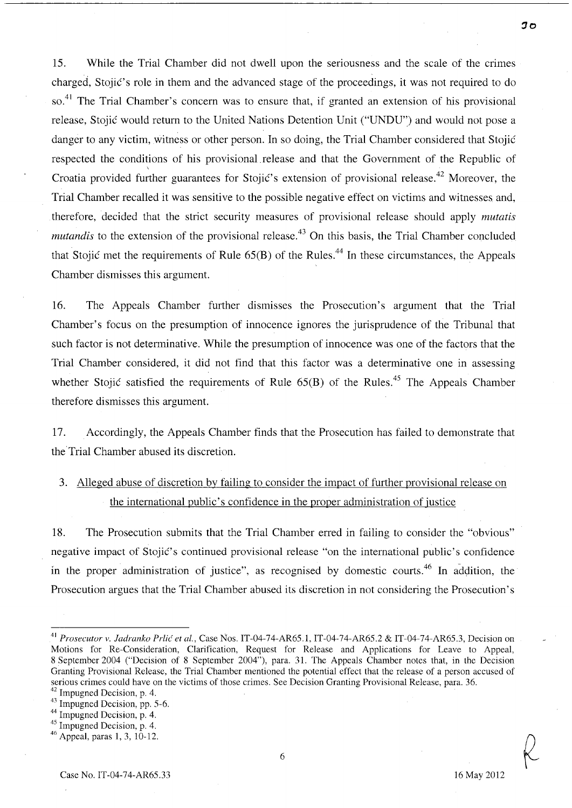15. While the Trial Chamber did not dwell upon the seriousness and the scale of the crimes charged, Stojic's role in them and the advanced stage of the proceedings, it was not required to do so.<sup>41</sup> The Trial Chamber's concern was to ensure that, if granted an extension of his provisional release, Stojic would return to the United Nations Detention Unit ("UNDU") and would not pose a danger to any victim, witness or other person. In so doing, the Trial Chamber considered that Stojic respected the conditions of his provisional.release and that the Government of the Republic of \ Croatia provided further guarantees for Stojić's extension of provisional release.<sup>42</sup> Moreover, the Trial Chamber recalled it was sensitive to the possible negative effect on victims and witnesses and, therefore, decided that the strict security measures of provisional release should apply *mutatis mutandis* to the extension of the provisional release.<sup>43</sup> On this basis, the Trial Chamber concluded that Stojic met the requirements of Rule  $65(B)$  of the Rules.<sup>44</sup> In these circumstances, the Appeals Chamber dismisses this argument.

16. The Appeals Chamber further dismisses the Prosecution's argument that the Trial Chamber's focus on the presumption of innocence ignores the jurisprudence of the Tribunal that such factor is not determinative. While the presumption of innocence was one of the factors that the Trial Chamber considered, it did not find that this factor was a determinative one in assessing whether Stojić satisfied the requirements of Rule  $65(B)$  of the Rules.<sup>45</sup> The Appeals Chamber therefore dismisses this argument.

l7. Accordingly, the Appeals Chamber finds that the Prosecution has failed to demonstrate that the Trial Chamber abused its discretion.

3. Alleged abuse of discretion by failing to consider the impact of further provisional release on the international public's confidence in the proper administration of justice

18. The Prosecution submits that the Trial Chamber erred in failing to consider the "obvious" negative impact of Stojić's continued provisional release "on the international public's confidence in the proper administration of justice", as recognised by domestic courts.<sup>46</sup> In addition, the Prosecution argues that the Trial Chamber abused its discretion in not considering the Prosecution's

44 Impugned Decision, p. 4.

<sup>41</sup>*Prosecutor v. ladranko Prlic et al.,* Case Nos. IT-04-74-AR65.1, IT-04-74-AR65.2 & IT-04-74-AR65.3, Decision on Motions for Re-Consideration, Clarification, Request for Release and Applications for Leave to Appeal, 8 September 2004 ("Decision of 8 September 2004"), para. 31. The Appeals Chamber notes that, in the Decision Granting Provisional Release, the Trial Chamber mentioned the potential effect that the release of a person accused of serious crimes could have on the victims of those crimes. See Decision Granting Provisional Release, para. 36.

 $42$  Impugned Decision, p. 4.

<sup>43</sup> Impugned Decision, pp. 5-6.

<sup>45</sup> Impugned Decision, p. 4.

<sup>46</sup> Appeal, paras 1,3,10-12.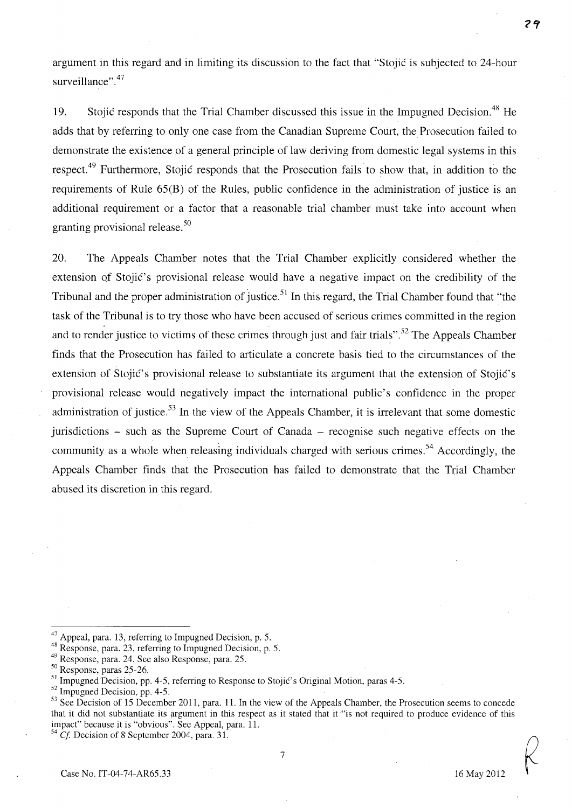argument in this regard and in limiting its discussion to the fact that "Stojic is subjected to 24-hour surveillance".<sup>47</sup>

19. Stojic responds that the Trial Chamber discussed this issue in the Impugned Decision.<sup>48</sup> He adds that by referring to only one case from the Canadian Supreme Court, the Prosecution failed to demonstrate the existence of a general principle of law deriving from domestic legal systems in this respect.<sup>49</sup> Furthermore, Stojic responds that the Prosecution fails to show that, in addition to the requirements of Rule 65(B) of the Rules, public confidence in the administration of justice is an additional requirement or a factor that a reasonable trial chamber must take into account when granting provisional release. 50

20. The Appeals Chamber notes that the Trial Chamber explicitly considered whether the extension of Stojić's provisional release would have a negative impact on the credibility of the Tribunal and the proper administration of justice.<sup>51</sup> In this regard, the Trial Chamber found that "the task of the Tribunal is to try those who have been accused of serious crimes committed in the region and to render justice to victims of these crimes through just and fair trials". <sup>52</sup> The Appeals Chamber finds that the Prosecution has failed to articulate a concrete basis tied to the circumstances of the extension of Stojić's provisional release to substantiate its argument that the extension of Stojić's provisional release would negatively impact the international public's confidence in the proper administration of justice.<sup>53</sup>**In** the view of the Appeals Chamber, it is irrelevant that some domestic jurisdictions – such as the Supreme Court of Canada – recognise such negative effects on the community as a whole when releasing individuals charged with serious crimes.<sup>54</sup> Accordingly, the Appeals Chamber finds that the Prosecution has failed to demonstrate that the Trial Chamber abused its discretion in this regard.

<sup>47</sup> Appeal, para. 13, referring to Impugned Decision, p. 5.

<sup>48</sup> Response, para. 23, referring to Impugned Decision, p. 5.

<sup>49</sup> Response, para. 24. See also Response, para. 25.

<sup>50</sup> Response, paras 25-26.

 $51$  Impugned Decision, pp. 4-5, referring to Response to Stojić's Original Motion, paras 4-5.

<sup>&</sup>lt;sup>52</sup> Impugned Decision, pp. 4-5.

<sup>&</sup>lt;sup>53</sup> See Decision of 15 December 2011, para. 11. In the view of the Appeals Chamber, the Prosecution seems to concede that it did not substantiate its argument in this respect as it stated that it "is not required to produce evidence of this impact" because it is "obvious". See Appeal, para. 11.

 $54 \text{ }Cf$ . Decision of 8 September 2004, para. 31.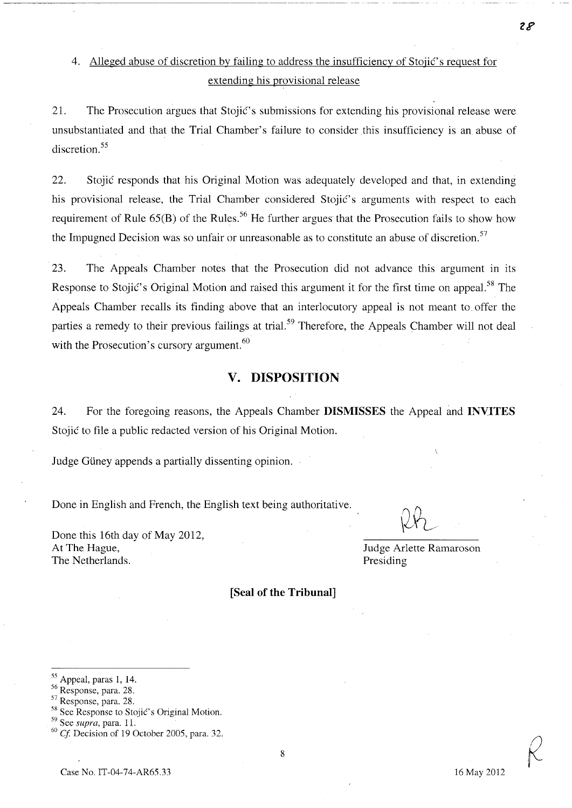# 4. Alleged abuse of discretion by failing to address the insufficiency of Stojić's request for extending his provisional release

21. The Prosecution argues that Stojić's submissions for extending his provisional release were unsubstantiated and that the Trial Chamber's failure to consider this insufficiency is an abuse of discretion. 55

22. Stojic responds that his Original Motion was adequately developed and that, in extending his provisional release, the Trial Chamber considered Stojić's arguments with respect to each requirement of Rule  $65(B)$  of the Rules.<sup>56</sup> He further argues that the Prosecution fails to show how the Impugned Decision was so unfair or unreasonable as to constitute an abuse of discretion.<sup>57</sup>

23. The Appeals Chamber notes that the Prosecution did not advance this argument in its Response to Stojić's Original Motion and raised this argument it for the first time on appeal.<sup>58</sup> The Appeals Chamber recalls its finding above that an interlocutory appeal is not meant to offer the parties a remedy to their previous failings at trial.<sup>59</sup> Therefore, the Appeals Chamber will not deal with the Prosecution's cursory argument.<sup>60</sup>

### **v. DISPOSITION**

24. For the foregoing reasons, the Appeals Chamber **DISMISSES** the Appeal and **INVITES** Stojić to file a public redacted version of his Original Motion.

Judge Güney appends a partially dissenting opinion.

Done in English and French, the English text being authoritative.

Done this 16th day of May 2012, At The Hague, The Netherlands.

Judge Arlette Ramaroson Presiding

**[Seal of the Tribunal]** 

 $28$ 

<sup>55</sup> Appeal, paras 1, 14.

<sup>56</sup> Response, para. 28.

<sup>57</sup> Response, para. 28.

 $58$  See Response to Stojić's Original Motion.

<sup>59</sup> See *supra,* para. 11.

*<sup>60</sup> Cj* Decision of 19 October 2005, para. 32.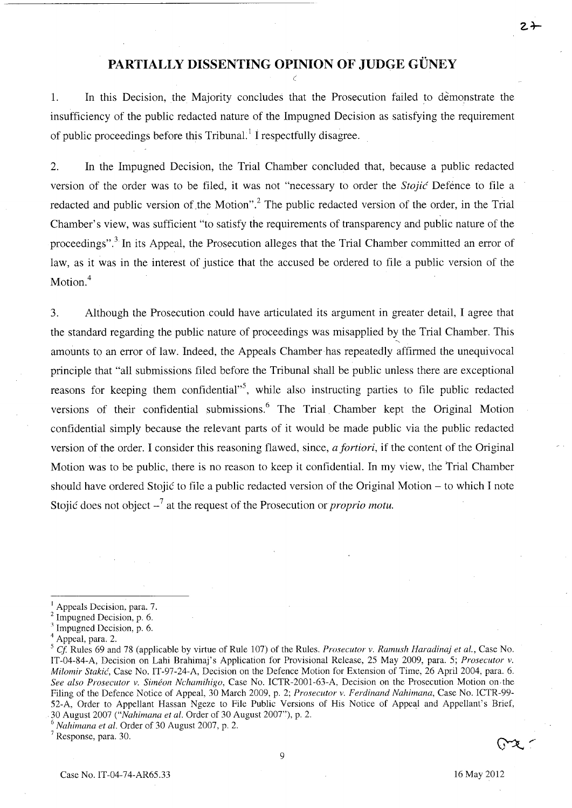# **PARTIALLY DISSENTING OPINION OF JUDGE GÜNEY**

1. In this Decision, the Majority concludes that the Prosecution failed to demonstrate the insufficiency of the public redacted nature of the Impugned Decision as satisfying the requirement of public proceedings before this Tribunal.! I respectfully disagree.

2. In the Impugned Decision, the Trial Chamber concluded that, because a public redacted version of the order was to be filed, it was not "necessary to order the *Stojie* Defence to file a red acted and public version of the Motion".<sup>2</sup> The public redacted version of the order, in the Trial Chamber's view, was sufficient "to satisfy the requirements of transparency and public nature of the proceedings".<sup>3</sup> In its Appeal, the Prosecution alleges that the Trial Chamber committed an error of law, as it was in the interest of justice that the accused be ordered to file a public version of the Motion.<sup>4</sup>

3. Although the Prosecution could have articulated its argument in greater detail, I agree that the standard regarding the public nature of proceedings was misapplied by the Trial Chamber. This amounts to an error of law. Indeed, the Appeals Chamber has repeatedly affirmed the unequivocal principle that "all submissions filed before the Tribunal shall be public unless there are exceptional reasons for keeping them confidential"<sup>5</sup>, while also instructing parties to file public redacted versions of their confidential submissions.<sup>6</sup> The Trial Chamber kept the Original Motion confidential simply because the relevant parts of it would be made public via the public redacted version of the order. I consider this reasoning flawed, since, *a fortiori,* if the content of the Original Motion was to be public, there is no reason to keep it confidential. In my view, the Trial Chamber should have ordered Stojic to file a public redacted version of the Original Motion - to which I note Stojic does not object \_7 at the request of the Prosecution or *proprio motu.* 

Appeals Decision, para. 7.

<sup>2</sup> Impugned Decision, p. 6.

<sup>&</sup>lt;sup>3</sup> Impugned Decision, p. 6.

<sup>4</sup> Appeal, para. 2.

*<sup>5</sup> Cl* Rules 69 and 78 (applicable by virtue of Rule 107) of the Rules. *Prosecutor v. Ramush Haradinaj et al.,* Case No. IT-04-84-A, Decision on Lahi Brahimaj's Application for Provisional Release, 25 May 2009, para. 5; *Prosecutor v. Milomir Stakic(,* Case No. IT-97-24-A, Decision on the Defence Motion for Extension of Time, 26 April 2004, para. 6. *See also Prosecutor v. Simeon Nchamihigo,* Case No. ICTR-2001-63-A, Decision on the Prosecution Motion on· the Filing of the Defence Notice of Appeal, 30 March 2009, p. 2; *Prosecutor v. Ferdinand Nahimana,* Case No. ICTR-99- 52-A, Order to Appellant Hassan Ngeze to File Public Versions of His Notice of Appeal and Appellant's Brief, . 30 August 2007 *("Nahimana et al.* Order of 30 August 2007"), p. 2.

*<sup>6</sup> Nahimana et al.* Order of 30 August 2007, p. 2.

<sup>7</sup> Response, para. 30.